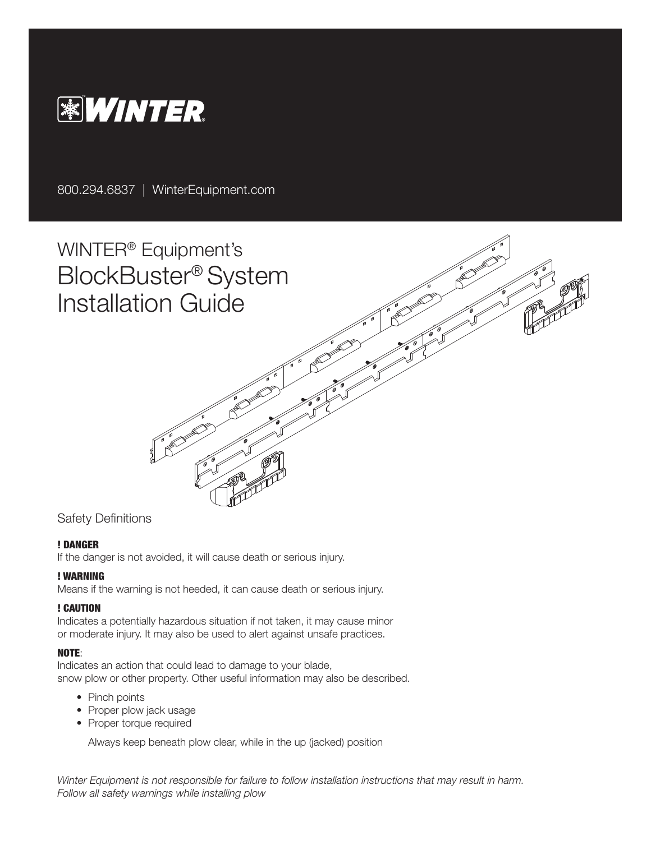

800.294.6837 | WinterEquipment.com

WINTER® Equipment's BlockBuster® System Installation Guide

## Safety Definitions

#### ! DANGER

If the danger is not avoided, it will cause death or serious injury.

#### ! WARNING

Means if the warning is not heeded, it can cause death or serious injury.

#### ! CAUTION

Indicates a potentially hazardous situation if not taken, it may cause minor or moderate injury. It may also be used to alert against unsafe practices.

#### NOTE:

Indicates an action that could lead to damage to your blade, snow plow or other property. Other useful information may also be described.

- Pinch points
- Proper plow jack usage
- Proper torque required

Always keep beneath plow clear, while in the up (jacked) position

*Winter Equipment is not responsible for failure to follow installation instructions that may result in harm. Follow all safety warnings while installing plow*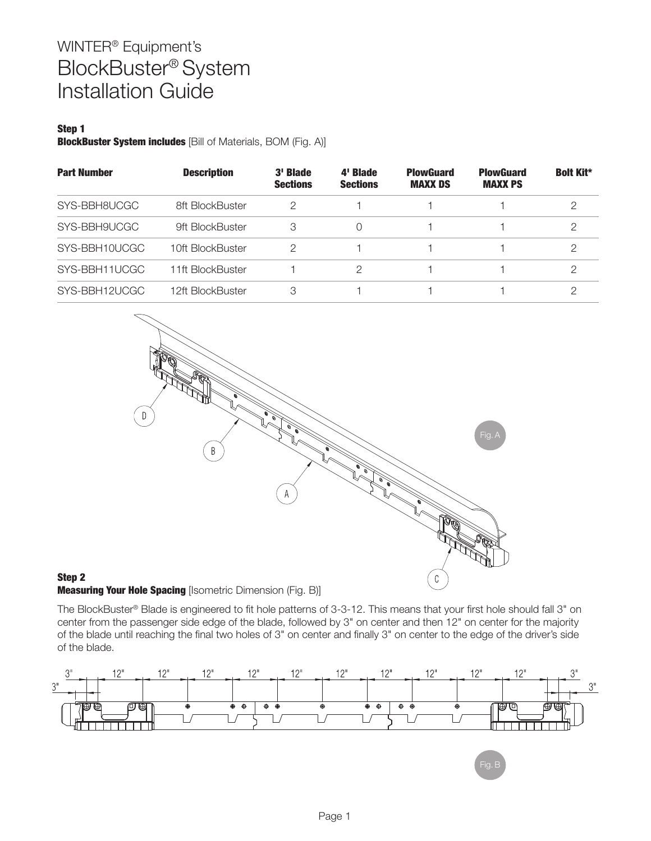## Step 1

BlockBuster System includes [Bill of Materials, BOM (Fig. A)]

| <b>Part Number</b> | <b>Description</b> | 3' Blade<br><b>Sections</b> | 4' Blade<br><b>Sections</b> | <b>PlowGuard</b><br><b>MAXX DS</b> | <b>PlowGuard</b><br><b>MAXX PS</b> | <b>Bolt Kit*</b> |
|--------------------|--------------------|-----------------------------|-----------------------------|------------------------------------|------------------------------------|------------------|
| SYS-BBH8UCGC       | 8ft BlockBuster    | 2                           |                             |                                    |                                    | 2                |
| SYS-BBH9UCGC       | 9ft BlockBuster    | 3                           | 0                           |                                    |                                    | 2                |
| SYS-BBH10UCGC      | 10ft BlockBuster   | 2                           |                             |                                    |                                    |                  |
| SYS-BBH11UCGC      | 11ft BlockBuster   |                             | 2                           |                                    |                                    |                  |
| SYS-BBH12UCGC      | 12ft BlockBuster   | 3                           |                             |                                    |                                    | ◠                |



#### Step 2 **Measuring Your Hole Spacing [Isometric Dimension (Fig. B)]**

The BlockBuster® Blade is engineered to fit hole patterns of 3-3-12. This means that your first hole should fall 3" on center from the passenger side edge of the blade, followed by 3" on center and then 12" on center for the majority of the blade until reaching the final two holes of 3" on center and finally 3" on center to the edge of the driver's side of the blade.

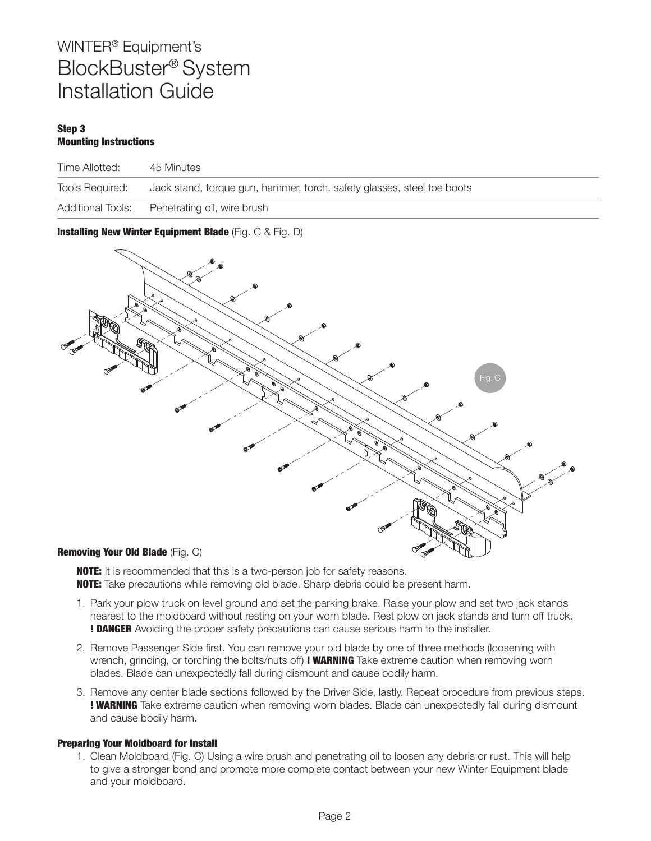#### Step 3 Mounting Instructions

| Time Allotted:           | 45 Minutes                                                             |
|--------------------------|------------------------------------------------------------------------|
| <b>Tools Required:</b>   | Jack stand, torque gun, hammer, torch, safety glasses, steel toe boots |
| <b>Additional Tools:</b> | Penetrating oil, wire brush                                            |

Installing New Winter Equipment Blade (Fig. C & Fig. D)



**NOTE:** It is recommended that this is a two-person job for safety reasons. **NOTE:** Take precautions while removing old blade. Sharp debris could be present harm.

- 1. Park your plow truck on level ground and set the parking brake. Raise your plow and set two jack stands nearest to the moldboard without resting on your worn blade. Rest plow on jack stands and turn off truck. ! DANGER Avoiding the proper safety precautions can cause serious harm to the installer.
- 2. Remove Passenger Side first. You can remove your old blade by one of three methods (loosening with wrench, grinding, or torching the bolts/nuts off) ! WARNING Take extreme caution when removing worn blades. Blade can unexpectedly fall during dismount and cause bodily harm.
- 3. Remove any center blade sections followed by the Driver Side, lastly. Repeat procedure from previous steps. ! WARNING Take extreme caution when removing worn blades. Blade can unexpectedly fall during dismount and cause bodily harm.

### Preparing Your Moldboard for Install

1. Clean Moldboard (Fig. C) Using a wire brush and penetrating oil to loosen any debris or rust. This will help to give a stronger bond and promote more complete contact between your new Winter Equipment blade and your moldboard.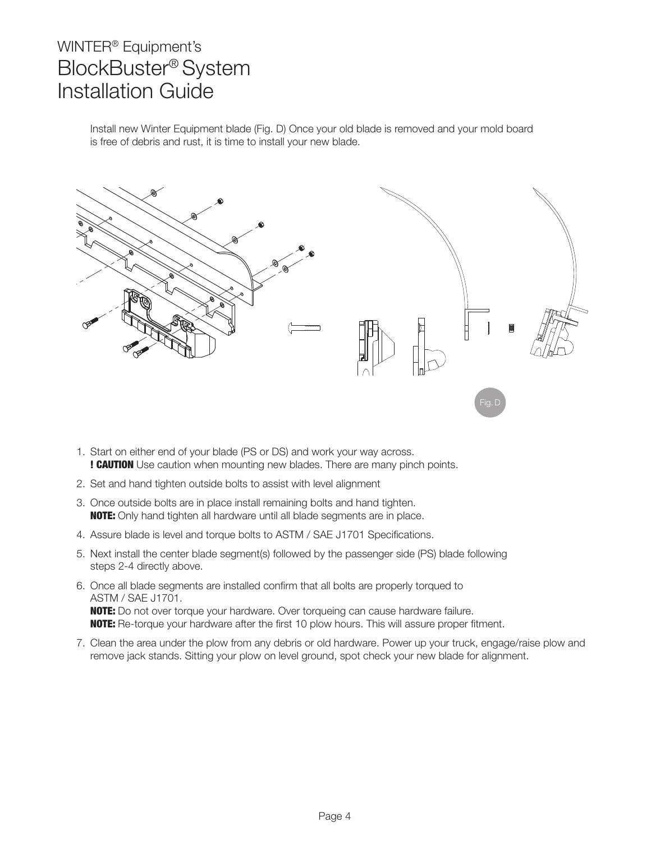Install new Winter Equipment blade (Fig. D) Once your old blade is removed and your mold board is free of debris and rust, it is time to install your new blade.



- 1. Start on either end of your blade (PS or DS) and work your way across. ! CAUTION Use caution when mounting new blades. There are many pinch points.
- 2. Set and hand tighten outside bolts to assist with level alignment
- 3. Once outside bolts are in place install remaining bolts and hand tighten. **NOTE:** Only hand tighten all hardware until all blade segments are in place.
- 4. Assure blade is level and torque bolts to ASTM / SAE J1701 Specifications.
- 5. Next install the center blade segment(s) followed by the passenger side (PS) blade following steps 2-4 directly above.
- 6. Once all blade segments are installed confirm that all bolts are properly torqued to ASTM / SAE J1701. **NOTE:** Do not over torque your hardware. Over torqueing can cause hardware failure. **NOTE:** Re-torque your hardware after the first 10 plow hours. This will assure proper fitment.
- 7. Clean the area under the plow from any debris or old hardware. Power up your truck, engage/raise plow and remove jack stands. Sitting your plow on level ground, spot check your new blade for alignment.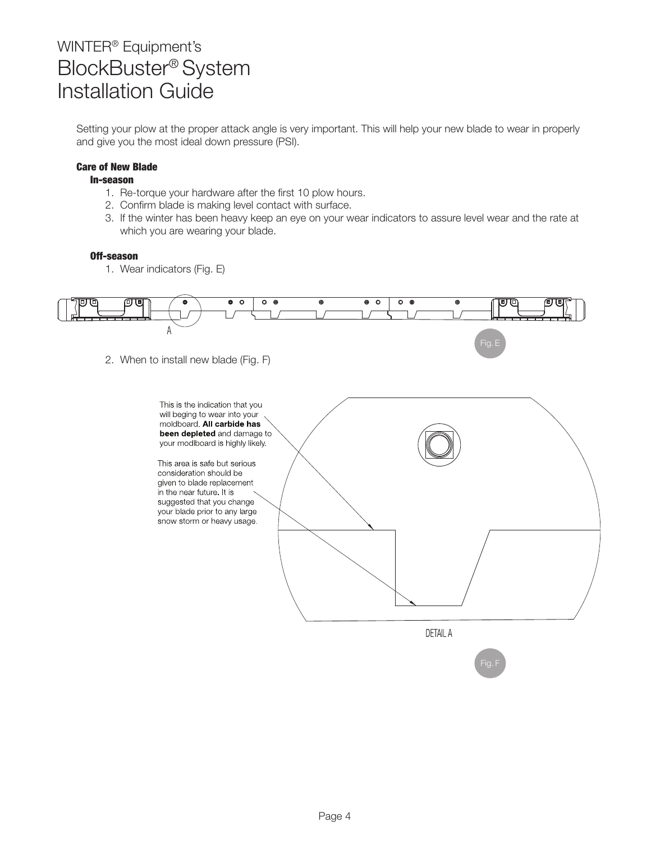Setting your plow at the proper attack angle is very important. This will help your new blade to wear in properly and give you the most ideal down pressure (PSI).

### Care of New Blade

#### In-season

- 1. Re-torque your hardware after the first 10 plow hours.
- 2. Confirm blade is making level contact with surface.
- 3. If the winter has been heavy keep an eye on your wear indicators to assure level wear and the rate at which you are wearing your blade.

### Off-season

1. Wear indicators (Fig. E)